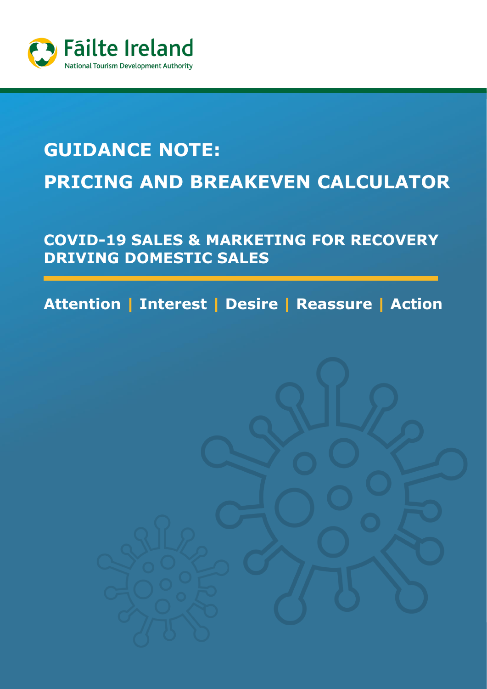

# **GUIDANCE NOTE: PRICING AND BREAKEVEN CALCULATOR**

## **COVID-19 SALES & MARKETING FOR RECOVERY DRIVING DOMESTIC SALES**

**Attention | Interest | Desire | Reassure | Action**

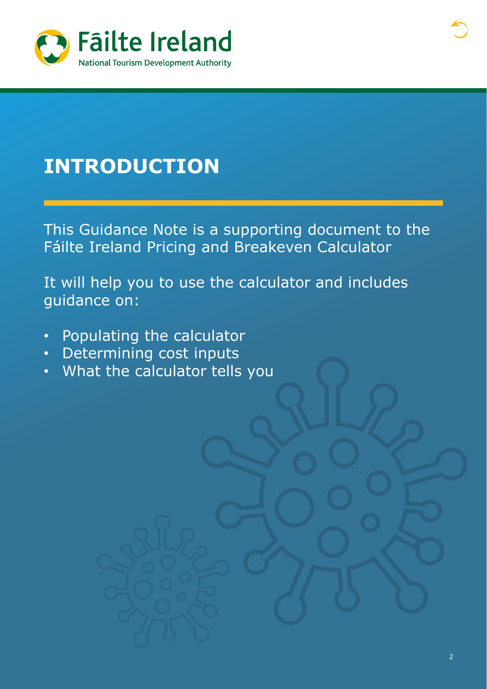

## **INTRODUCTION**

This Guidance Note is a supporting document to the Fáilte Ireland Pricing and Breakeven Calculator

It will help you to use the calculator and includes guidance on:

- Populating the calculator
- Determining cost inputs
- What the calculator tells you

**[I](#page-2-0)**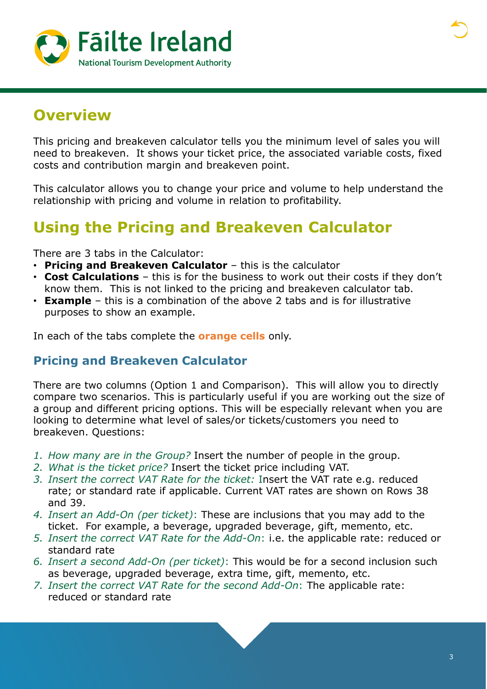<span id="page-2-0"></span>

## **Overview**

This pricing and breakeven calculator tells you the minimum level of sales you will need to breakeven. It shows your ticket price, the associated variable costs, fixed costs and contribution margin and breakeven point.

This calculator allows you to change your price and volume to help understand the relationship with pricing and volume in relation to profitability.

### **Using the Pricing and Breakeven Calculator**

There are 3 tabs in the Calculator:

- **Pricing and Breakeven Calculator** this is the calculator
- **Cost Calculations** this is for the business to work out their costs if they don't know them. This is not linked to the pricing and breakeven calculator tab.
- **Example** this is a combination of the above 2 tabs and is for illustrative purposes to show an example.

In each of the tabs complete the **orange cells** only.

#### **Pricing and Breakeven Calculator**

There are two columns (Option 1 and Comparison). This will allow you to directly compare two scenarios. This is particularly useful if you are working out the size of a group and different pricing options. This will be especially relevant when you are looking to determine what level of sales/or tickets/customers you need to breakeven. Questions:

- *1. How many are in the Group?* Insert the number of people in the group.
- *2. What is the ticket price?* Insert the ticket price including VAT.
- *3. Insert the correct VAT Rate for the ticket:* Insert the VAT rate e.g. reduced rate; or standard rate if applicable. Current VAT rates are shown on Rows 38 and 39.
- *4. Insert an Add-On (per ticket)*: These are inclusions that you may add to the ticket. For example, a beverage, upgraded beverage, gift, memento, etc.
- *5. Insert the correct VAT Rate for the Add-On*: i.e. the applicable rate: reduced or standard rate
- *6. Insert a second Add-On (per ticket)*: This would be for a second inclusion such as beverage, upgraded beverage, extra time, gift, memento, etc.
- *7. Insert the correct VAT Rate for the second Add-On*: The applicable rate: reduced or standard rate

**I**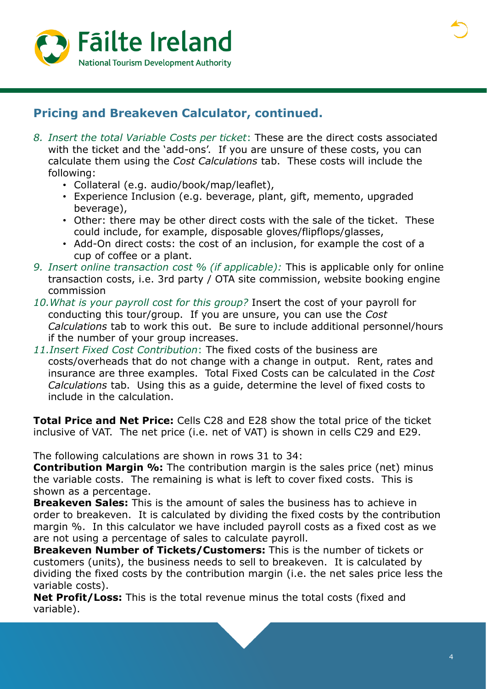



#### **Pricing and Breakeven Calculator, continued.**

- *8. Insert the total Variable Costs per ticket*: These are the direct costs associated with the ticket and the 'add-ons'. If you are unsure of these costs, you can calculate them using the *Cost Calculations* tab. These costs will include the following:
	- Collateral (e.g. audio/book/map/leaflet),
	- Experience Inclusion (e.g. beverage, plant, gift, memento, upgraded beverage),
	- Other: there may be other direct costs with the sale of the ticket. These could include, for example, disposable gloves/flipflops/glasses,
	- Add-On direct costs: the cost of an inclusion, for example the cost of a cup of coffee or a plant.
- *9. Insert online transaction cost % (if applicable):* This is applicable only for online transaction costs, i.e. 3rd party / OTA site commission, website booking engine commission
- *10.What is your payroll cost for this group?* Insert the cost of your payroll for conducting this tour/group. If you are unsure, you can use the *Cost Calculations* tab to work this out. Be sure to include additional personnel/hours if the number of your group increases.
- *11.Insert Fixed Cost Contribution*: The fixed costs of the business are costs/overheads that do not change with a change in output. Rent, rates and insurance are three examples. Total Fixed Costs can be calculated in the *Cost Calculations* tab. Using this as a guide, determine the level of fixed costs to include in the calculation.

**Total Price and Net Price:** Cells C28 and E28 show the total price of the ticket inclusive of VAT. The net price (i.e. net of VAT) is shown in cells C29 and E29.

The following calculations are shown in rows 31 to 34:

**Contribution Margin %:** The contribution margin is the sales price (net) minus the variable costs. The remaining is what is left to cover fixed costs. This is shown as a percentage.

**Breakeven Sales:** This is the amount of sales the business has to achieve in order to breakeven. It is calculated by dividing the fixed costs by the contribution margin %. In this calculator we have included payroll costs as a fixed cost as we are not using a percentage of sales to calculate payroll.

**Breakeven Number of Tickets/Customers:** This is the number of tickets or customers (units), the business needs to sell to breakeven. It is calculated by dividing the fixed costs by the contribution margin (i.e. the net sales price less the variable costs).

**Net Profit/Loss:** This is the total revenue minus the total costs (fixed and variable).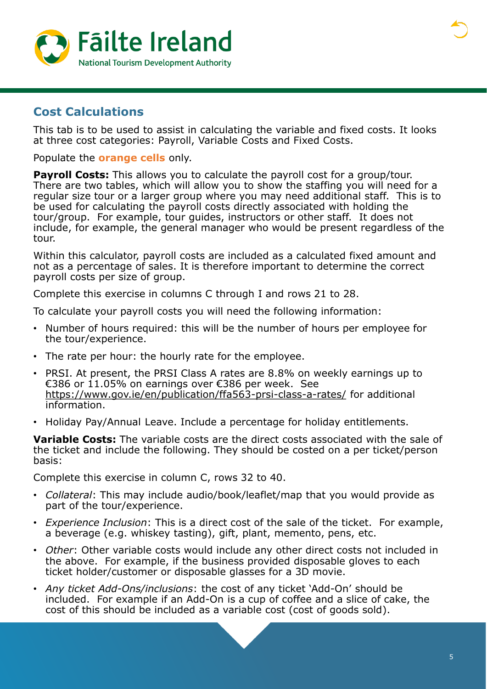

#### **Cost Calculations**

This tab is to be used to assist in calculating the variable and fixed costs. It looks at three cost categories: Payroll, Variable Costs and Fixed Costs.

Populate the **orange cells** only.

**Payroll Costs:** This allows you to calculate the payroll cost for a group/tour. There are two tables, which will allow you to show the staffing you will need for a regular size tour or a larger group where you may need additional staff. This is to be used for calculating the payroll costs directly associated with holding the tour/group. For example, tour guides, instructors or other staff. It does not include, for example, the general manager who would be present regardless of the tour.

Within this calculator, payroll costs are included as a calculated fixed amount and not as a percentage of sales. It is therefore important to determine the correct payroll costs per size of group.

Complete this exercise in columns C through I and rows 21 to 28.

To calculate your payroll costs you will need the following information:

- Number of hours required: this will be the number of hours per employee for the tour/experience.
- The rate per hour: the hourly rate for the employee.
- PRSI. At present, the PRSI Class A rates are 8.8% on weekly earnings up to €386 or 11.05% on earnings over €386 per week. See <https://www.gov.ie/en/publication/ffa563-prsi-class-a-rates/> for additional information.
- Holiday Pay/Annual Leave. Include a percentage for holiday entitlements.

**Variable Costs:** The variable costs are the direct costs associated with the sale of the ticket and include the following. They should be costed on a per ticket/person basis:

Complete this exercise in column C, rows 32 to 40.

- *Collateral*: This may include audio/book/leaflet/map that you would provide as part of the tour/experience.
- *Experience Inclusion*: This is a direct cost of the sale of the ticket. For example, a beverage (e.g. whiskey tasting), gift, plant, memento, pens, etc.
- *Other*: Other variable costs would include any other direct costs not included in the above. For example, if the business provided disposable gloves to each ticket holder/customer or disposable glasses for a 3D movie.
- *Any ticket Add-Ons/inclusions*: the cost of any ticket 'Add-On' should be included. For example if an Add-On is a cup of coffee and a slice of cake, the cost of this should be included as a variable cost (cost of goods sold).

**I**